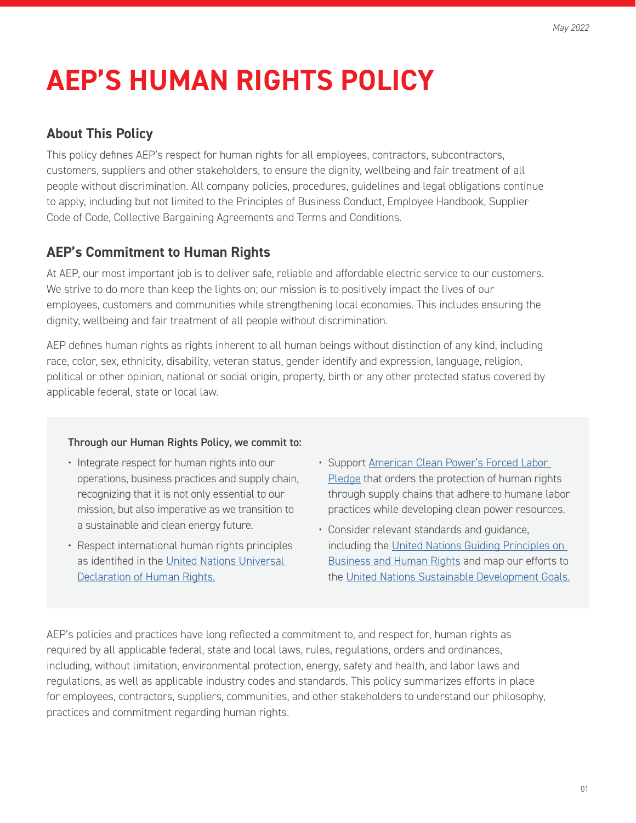# **AEP'S HUMAN RIGHTS POLICY**

#### **About This Policy**

This policy defines AEP's respect for human rights for all employees, contractors, subcontractors, customers, suppliers and other stakeholders, to ensure the dignity, wellbeing and fair treatment of all people without discrimination. All company policies, procedures, guidelines and legal obligations continue to apply, including but not limited to the Principles of Business Conduct, Employee Handbook, Supplier Code of Code, Collective Bargaining Agreements and Terms and Conditions.

### **AEP's Commitment to Human Rights**

At AEP, our most important job is to deliver safe, reliable and affordable electric service to our customers. We strive to do more than keep the lights on; our mission is to positively impact the lives of our employees, customers and communities while strengthening local economies. This includes ensuring the dignity, wellbeing and fair treatment of all people without discrimination.

AEP defines human rights as rights inherent to all human beings without distinction of any kind, including race, color, sex, ethnicity, disability, veteran status, gender identify and expression, language, religion, political or other opinion, national or social origin, property, birth or any other protected status covered by applicable federal, state or local law.

#### Through our Human Rights Policy, we commit to:

- Integrate respect for human rights into our operations, business practices and supply chain, recognizing that it is not only essential to our mission, but also imperative as we transition to a sustainable and clean energy future.
- Respect international human rights principles as identified in the [United Nations Universal](https://www.un.org/en/about-us/universal-declaration-of-human-rights)  [Declaration of Human Rights.](https://www.un.org/en/about-us/universal-declaration-of-human-rights)
- Support American Clean Power's Forced Labor [Pledge](https://cleanpower.org/wp-content/uploads/2021/04/ACP-Forced-Labor-Prevention-Pledge_FINAL.pdf) that orders the protection of human rights through supply chains that adhere to humane labor practices while developing clean power resources.
- Consider relevant standards and guidance, including the [United Nations Guiding Principles on](https://www.ohchr.org/sites/default/files/documents/publications/guidingprinciplesbusinesshr_en.pdf)  [Business and Human Rights](https://www.ohchr.org/sites/default/files/documents/publications/guidingprinciplesbusinesshr_en.pdf) and map our efforts to the [United Nations Sustainable Development Goals.](https://sdgs.un.org/)

AEP's policies and practices have long reflected a commitment to, and respect for, human rights as required by all applicable federal, state and local laws, rules, regulations, orders and ordinances, including, without limitation, environmental protection, energy, safety and health, and labor laws and regulations, as well as applicable industry codes and standards. This policy summarizes efforts in place for employees, contractors, suppliers, communities, and other stakeholders to understand our philosophy, practices and commitment regarding human rights.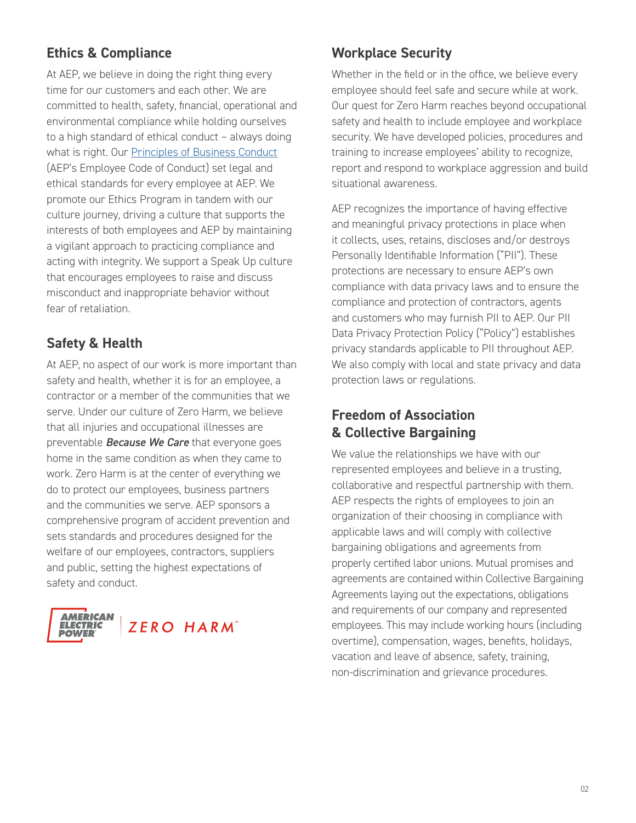# **Ethics & Compliance**

At AEP, we believe in doing the right thing every time for our customers and each other. We are committed to health, safety, financial, operational and environmental compliance while holding ourselves to a high standard of ethical conduct – always doing what is right. Our **Principles of Business Conduct** (AEP's Employee Code of Conduct) set legal and ethical standards for every employee at AEP. We promote our Ethics Program in tandem with our culture journey, driving a culture that supports the interests of both employees and AEP by maintaining a vigilant approach to practicing compliance and acting with integrity. We support a Speak Up culture that encourages employees to raise and discuss misconduct and inappropriate behavior without fear of retaliation.

## **Safety & Health**

At AEP, no aspect of our work is more important than safety and health, whether it is for an employee, a contractor or a member of the communities that we serve. Under our culture of Zero Harm, we believe that all injuries and occupational illnesses are preventable *Because We Care* that everyone goes home in the same condition as when they came to work. Zero Harm is at the center of everything we do to protect our employees, business partners and the communities we serve. AEP sponsors a comprehensive program of accident prevention and sets standards and procedures designed for the welfare of our employees, contractors, suppliers and public, setting the highest expectations of safety and conduct.



# **Workplace Security**

Whether in the field or in the office, we believe every employee should feel safe and secure while at work. Our quest for Zero Harm reaches beyond occupational safety and health to include employee and workplace security. We have developed policies, procedures and training to increase employees' ability to recognize, report and respond to workplace aggression and build situational awareness.

AEP recognizes the importance of having effective and meaningful privacy protections in place when it collects, uses, retains, discloses and/or destroys Personally Identifiable Information ("PII"). These protections are necessary to ensure AEP's own compliance with data privacy laws and to ensure the compliance and protection of contractors, agents and customers who may furnish PII to AEP. Our PII Data Privacy Protection Policy ("Policy") establishes privacy standards applicable to PII throughout AEP. We also comply with local and state privacy and data protection laws or regulations.

## **Freedom of Association & Collective Bargaining**

We value the relationships we have with our represented employees and believe in a trusting, collaborative and respectful partnership with them. AEP respects the rights of employees to join an organization of their choosing in compliance with applicable laws and will comply with collective bargaining obligations and agreements from properly certified labor unions. Mutual promises and agreements are contained within Collective Bargaining Agreements laying out the expectations, obligations and requirements of our company and represented employees. This may include working hours (including overtime), compensation, wages, benefits, holidays, vacation and leave of absence, safety, training, non-discrimination and grievance procedures.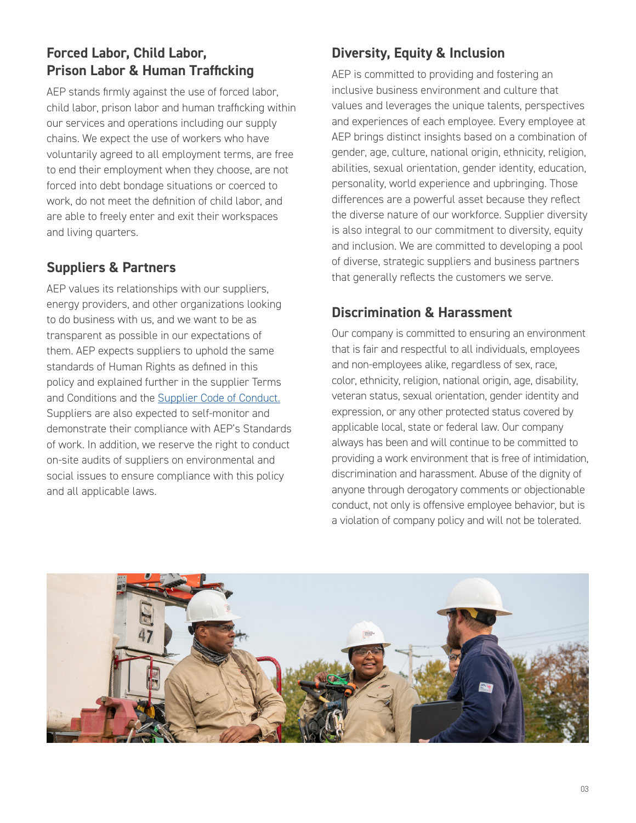# **Forced Labor, Child Labor, Prison Labor & Human Trafficking**

AEP stands firmly against the use of forced labor, child labor, prison labor and human trafficking within our services and operations including our supply chains. We expect the use of workers who have voluntarily agreed to all employment terms, are free to end their employment when they choose, are not forced into debt bondage situations or coerced to work, do not meet the definition of child labor, and are able to freely enter and exit their workspaces and living quarters.

### **Suppliers & Partners**

AEP values its relationships with our suppliers, energy providers, and other organizations looking to do business with us, and we want to be as transparent as possible in our expectations of them. AEP expects suppliers to uphold the same standards of Human Rights as defined in this policy and explained further in the supplier Terms and Conditions and the [Supplier Code of Conduct.](https://www.aep.com/assets/docs/b2b/SupplierCodeOfConduct.pdf) Suppliers are also expected to self-monitor and demonstrate their compliance with AEP's Standards of work. In addition, we reserve the right to conduct on-site audits of suppliers on environmental and social issues to ensure compliance with this policy and all applicable laws.

# **Diversity, Equity & Inclusion**

AEP is committed to providing and fostering an inclusive business environment and culture that values and leverages the unique talents, perspectives and experiences of each employee. Every employee at AEP brings distinct insights based on a combination of gender, age, culture, national origin, ethnicity, religion, abilities, sexual orientation, gender identity, education, personality, world experience and upbringing. Those differences are a powerful asset because they reflect the diverse nature of our workforce. Supplier diversity is also integral to our commitment to diversity, equity and inclusion. We are committed to developing a pool of diverse, strategic suppliers and business partners that generally reflects the customers we serve.

## **Discrimination & Harassment**

Our company is committed to ensuring an environment that is fair and respectful to all individuals, employees and non-employees alike, regardless of sex, race, color, ethnicity, religion, national origin, age, disability, veteran status, sexual orientation, gender identity and expression, or any other protected status covered by applicable local, state or federal law. Our company always has been and will continue to be committed to providing a work environment that is free of intimidation, discrimination and harassment. Abuse of the dignity of anyone through derogatory comments or objectionable conduct, not only is offensive employee behavior, but is a violation of company policy and will not be tolerated.

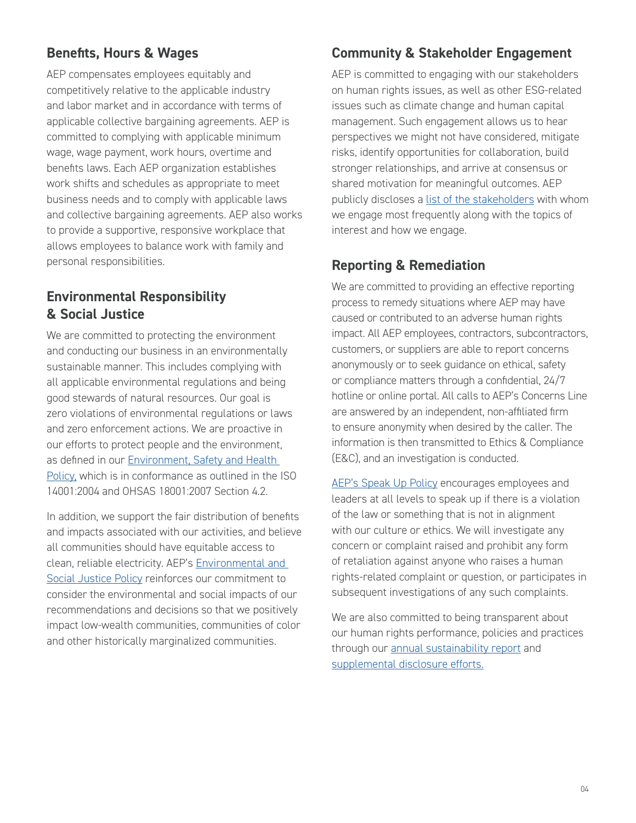## **Benefits, Hours & Wages**

AEP compensates employees equitably and competitively relative to the applicable industry and labor market and in accordance with terms of applicable collective bargaining agreements. AEP is committed to complying with applicable minimum wage, wage payment, work hours, overtime and benefits laws. Each AEP organization establishes work shifts and schedules as appropriate to meet business needs and to comply with applicable laws and collective bargaining agreements. AEP also works to provide a supportive, responsive workplace that allows employees to balance work with family and personal responsibilities.

### **Environmental Responsibility & Social Justice**

We are committed to protecting the environment and conducting our business in an environmentally sustainable manner. This includes complying with all applicable environmental regulations and being good stewards of natural resources. Our goal is zero violations of environmental regulations or laws and zero enforcement actions. We are proactive in our efforts to protect people and the environment, as defined in our [Environment, Safety and Health](http://aepsustainability.com/environment/docs/EnvironmentHealthandSafetyPolicy.pdf)  [Policy,](http://aepsustainability.com/environment/docs/EnvironmentHealthandSafetyPolicy.pdf) which is in conformance as outlined in the ISO 14001:2004 and OHSAS 18001:2007 Section 4.2.

In addition, we support the fair distribution of benefits and impacts associated with our activities, and believe all communities should have equitable access to clean, reliable electricity. AEP's [Environmental and](https://www.aep.com/Assets/docs/AEP_Environmental_Social_Justice_Policy.pdf)  [Social Justice Policy](https://www.aep.com/Assets/docs/AEP_Environmental_Social_Justice_Policy.pdf) reinforces our commitment to consider the environmental and social impacts of our recommendations and decisions so that we positively impact low-wealth communities, communities of color and other historically marginalized communities.

### **Community & Stakeholder Engagement**

AEP is committed to engaging with our stakeholders on human rights issues, as well as other ESG-related issues such as climate change and human capital management. Such engagement allows us to hear perspectives we might not have considered, mitigate risks, identify opportunities for collaboration, build stronger relationships, and arrive at consensus or shared motivation for meaningful outcomes. AEP publicly discloses a [list of the stakeholders](http://aepsustainability.com/governance/stakeholder-engagement/) with whom we engage most frequently along with the topics of interest and how we engage.

#### **Reporting & Remediation**

We are committed to providing an effective reporting process to remedy situations where AEP may have caused or contributed to an adverse human rights impact. All AEP employees, contractors, subcontractors, customers, or suppliers are able to report concerns anonymously or to seek guidance on ethical, safety or compliance matters through a confidential, 24/7 hotline or online portal. All calls to AEP's Concerns Line are answered by an independent, non-affiliated firm to ensure anonymity when desired by the caller. The information is then transmitted to Ethics & Compliance (E&C), and an investigation is conducted.

[AEP's Speak Up Policy](http://ethics.aepsc.com/Policies/Speak%20Up%20Policy%20Final.pdf) encourages employees and leaders at all levels to speak up if there is a violation of the law or something that is not in alignment with our culture or ethics. We will investigate any concern or complaint raised and prohibit any form of retaliation against anyone who raises a human rights-related complaint or question, or participates in subsequent investigations of any such complaints.

We are also committed to being transparent about our human rights performance, policies and practices through our [annual sustainability report](http://aepsustainability.com/) and [supplemental disclosure efforts.](http://aepsustainability.com/performance/esg-reports/)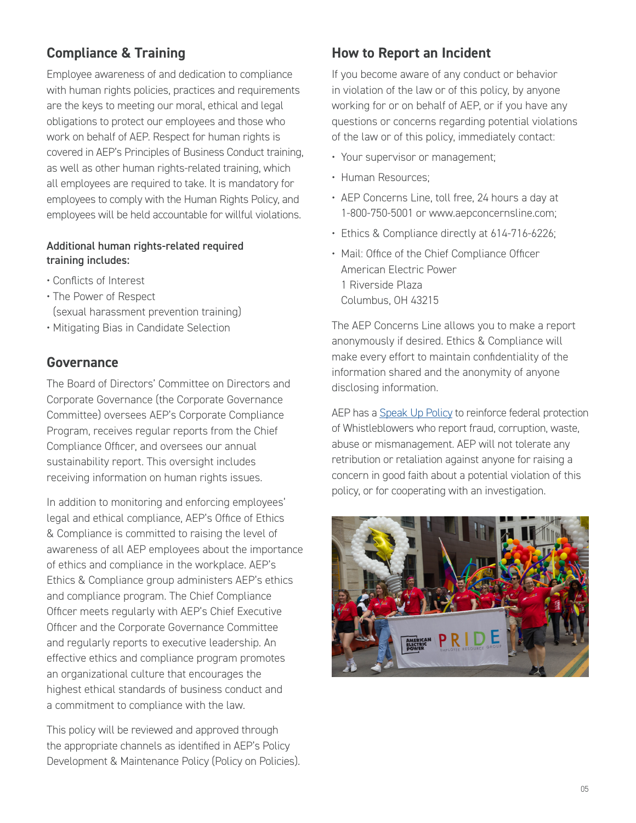# **Compliance & Training**

Employee awareness of and dedication to compliance with human rights policies, practices and requirements are the keys to meeting our moral, ethical and legal obligations to protect our employees and those who work on behalf of AEP. Respect for human rights is covered in AEP's Principles of Business Conduct training, as well as other human rights-related training, which all employees are required to take. It is mandatory for employees to comply with the Human Rights Policy, and employees will be held accountable for willful violations.

#### Additional human rights-related required training includes:

- Conflicts of Interest
- The Power of Respect (sexual harassment prevention training)
- Mitigating Bias in Candidate Selection

#### **Governance**

The Board of Directors' Committee on Directors and Corporate Governance (the Corporate Governance Committee) oversees AEP's Corporate Compliance Program, receives regular reports from the Chief Compliance Officer, and oversees our annual sustainability report. This oversight includes receiving information on human rights issues.

In addition to monitoring and enforcing employees' legal and ethical compliance, AEP's Office of Ethics & Compliance is committed to raising the level of awareness of all AEP employees about the importance of ethics and compliance in the workplace. AEP's Ethics & Compliance group administers AEP's ethics and compliance program. The Chief Compliance Officer meets regularly with AEP's Chief Executive Officer and the Corporate Governance Committee and regularly reports to executive leadership. An effective ethics and compliance program promotes an organizational culture that encourages the highest ethical standards of business conduct and a commitment to compliance with the law.

This policy will be reviewed and approved through the appropriate channels as identified in AEP's Policy Development & Maintenance Policy (Policy on Policies).

#### **How to Report an Incident**

If you become aware of any conduct or behavior in violation of the law or of this policy, by anyone working for or on behalf of AEP, or if you have any questions or concerns regarding potential violations of the law or of this policy, immediately contact:

- Your supervisor or management;
- Human Resources;
- AEP Concerns Line, toll free, 24 hours a day at 1-800-750-5001 or www.aepconcernsline.com;
- Ethics & Compliance directly at 614-716-6226;
- Mail: Office of the Chief Compliance Officer American Electric Power 1 Riverside Plaza Columbus, OH 43215

The AEP Concerns Line allows you to make a report anonymously if desired. Ethics & Compliance will make every effort to maintain confidentiality of the information shared and the anonymity of anyone disclosing information.

AEP has a [Speak Up Policy](http://ethics.aepsc.com/Policies/Speak%20Up%20Policy%20Final.pdf) to reinforce federal protection of Whistleblowers who report fraud, corruption, waste, abuse or mismanagement. AEP will not tolerate any retribution or retaliation against anyone for raising a concern in good faith about a potential violation of this policy, or for cooperating with an investigation.